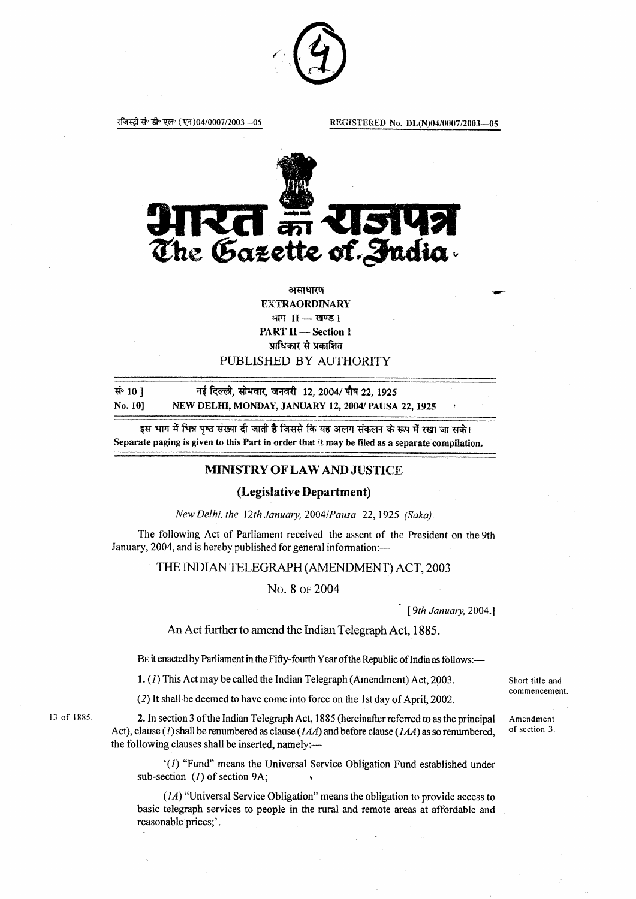

रजिस्ट्री सं॰ डी॰ एल॰ (एन)04/0007/2003-05

REGISTERED No. DL(N)04/0007/2003-05



# असाधारण **EXTRAORDINARY** भाग 11-खण्ड 1 **PART II** - Section 1 प्राधिकार से प्रकाशित

# PUBLISHED BY AUTHORITY

सं 10 1 नई दिल्ली, सोमवार, जनवरी 12, 2004/ पौष 22, 1925 No. 101 NEW DELHI, MONDAY, JANUARY 12, 2004/ PAUSA 22, 1925

इस भाग में भिन्न पष्ठ संख्या दी जाती है जिससे कि यह अलग संकलन के रूप में रखा जा सके। Separate paging is given to this Part in order that it may be filed as a separate compilation.

## MINISTRY OF LAW AND JUSTICE

#### (Legislative Department)

New Delhi, the 12th January, 2004/Pausa 22, 1925 (Saka)

The following Act of Parliament received the assent of the President on the 9th January, 2004, and is hereby published for general information:-

THE INDIAN TELEGRAPH (AMENDMENT) ACT, 2003

No. 8 of 2004

[9th January, 2004.]

An Act further to amend the Indian Telegraph Act, 1885.

BE it enacted by Parliament in the Fifty-fourth Year of the Republic of India as follows:-

1. (1) This Act may be called the Indian Telegraph (Amendment) Act, 2003.

(2) It shall be deemed to have come into force on the 1st day of April, 2002.

13 of 1885.

2. In section 3 of the Indian Telegraph Act, 1885 (hereinafter referred to as the principal Act), clause (1) shall be renumbered as clause ( $IAA$ ) and before clause ( $IAA$ ) as so renumbered. the following clauses shall be inserted, namely:—

'(1) "Fund" means the Universal Service Obligation Fund established under sub-section (1) of section 9A;

 $(1A)$  "Universal Service Obligation" means the obligation to provide access to basic telegraph services to people in the rural and remote areas at affordable and reasonable prices;'.

Short title and commencement

Amendment of section 3.